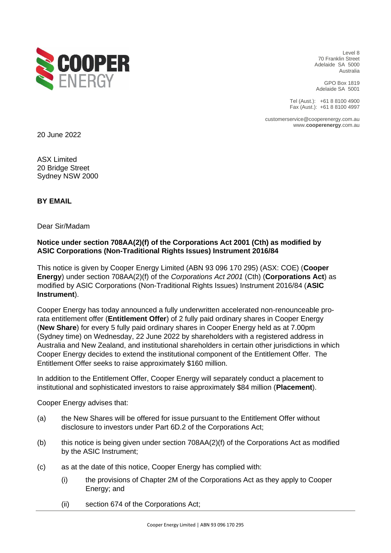

Level 8 70 Franklin Street Adelaide SA 5000 Australia

GPO Box 1819 Adelaide SA 5001

Tel (Aust.): +61 8 8100 4900 Fax (Aust.): +61 8 8100 4997

customerservice@cooperenergy.com.au www.**cooperenergy**.com.au

20 June 2022

ASX Limited 20 Bridge Street Sydney NSW 2000

**BY EMAIL**

Dear Sir/Madam

## **Notice under section 708AA(2)(f) of the Corporations Act 2001 (Cth) as modified by ASIC Corporations (Non-Traditional Rights Issues) Instrument 2016/84**

This notice is given by Cooper Energy Limited (ABN 93 096 170 295) (ASX: COE) (**Cooper Energy**) under section 708AA(2)(f) of the *Corporations Act 2001* (Cth) (**Corporations Act**) as modified by ASIC Corporations (Non-Traditional Rights Issues) Instrument 2016/84 (**ASIC Instrument**).

Cooper Energy has today announced a fully underwritten accelerated non-renounceable prorata entitlement offer (**Entitlement Offer**) of 2 fully paid ordinary shares in Cooper Energy (**New Share**) for every 5 fully paid ordinary shares in Cooper Energy held as at 7.00pm (Sydney time) on Wednesday, 22 June 2022 by shareholders with a registered address in Australia and New Zealand, and institutional shareholders in certain other jurisdictions in which Cooper Energy decides to extend the institutional component of the Entitlement Offer. The Entitlement Offer seeks to raise approximately \$160 million.

In addition to the Entitlement Offer, Cooper Energy will separately conduct a placement to institutional and sophisticated investors to raise approximately \$84 million (**Placement**).

Cooper Energy advises that:

- (a) the New Shares will be offered for issue pursuant to the Entitlement Offer without disclosure to investors under Part 6D.2 of the Corporations Act;
- (b) this notice is being given under section 708AA(2)(f) of the Corporations Act as modified by the ASIC Instrument;
- (c) as at the date of this notice, Cooper Energy has complied with:
	- (i) the provisions of Chapter 2M of the Corporations Act as they apply to Cooper Energy; and
	- (ii) section 674 of the Corporations Act;